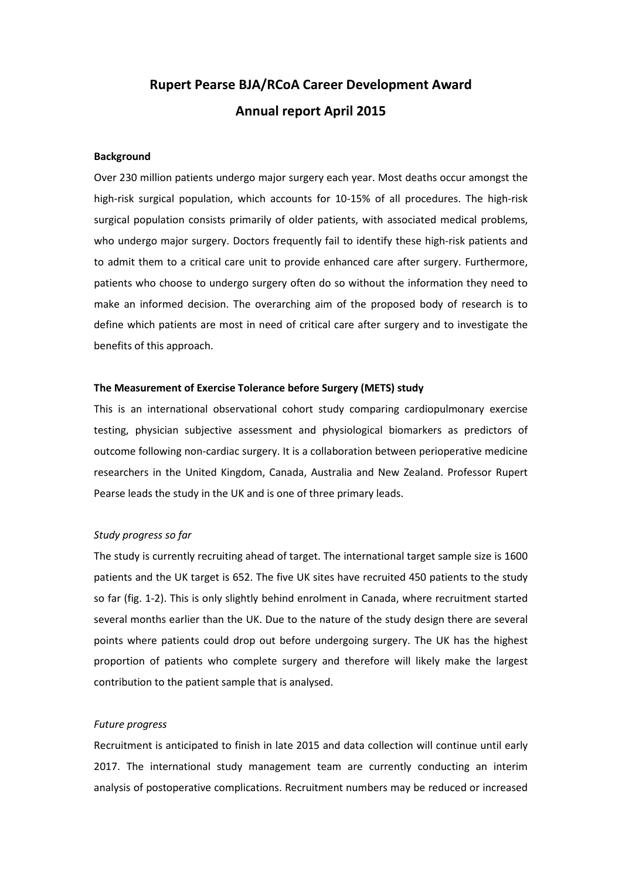# **Rupert Pearse BJA/RCoA Career Development Award Annual report April 2015**

#### **Background**

Over 230 million patients undergo major surgery each year. Most deaths occur amongst the high-risk surgical population, which accounts for 10-15% of all procedures. The high-risk surgical population consists primarily of older patients, with associated medical problems, who undergo major surgery. Doctors frequently fail to identify these high-risk patients and to admit them to a critical care unit to provide enhanced care after surgery. Furthermore, patients who choose to undergo surgery often do so without the information they need to make an informed decision. The overarching aim of the proposed body of research is to define which patients are most in need of critical care after surgery and to investigate the benefits of this approach.

#### **The Measurement of Exercise Tolerance before Surgery (METS) study**

This is an international observational cohort study comparing cardiopulmonary exercise testing, physician subjective assessment and physiological biomarkers as predictors of outcome following non-cardiac surgery. It is a collaboration between perioperative medicine researchers in the United Kingdom, Canada, Australia and New Zealand. Professor Rupert Pearse leads the study in the UK and is one of three primary leads.

### *Study progress so far*

The study is currently recruiting ahead of target. The international target sample size is 1600 patients and the UK target is 652. The five UK sites have recruited 450 patients to the study so far (fig. 1-2). This is only slightly behind enrolment in Canada, where recruitment started several months earlier than the UK. Due to the nature of the study design there are several points where patients could drop out before undergoing surgery. The UK has the highest proportion of patients who complete surgery and therefore will likely make the largest contribution to the patient sample that is analysed.

#### *Future progress*

Recruitment is anticipated to finish in late 2015 and data collection will continue until early 2017. The international study management team are currently conducting an interim analysis of postoperative complications. Recruitment numbers may be reduced or increased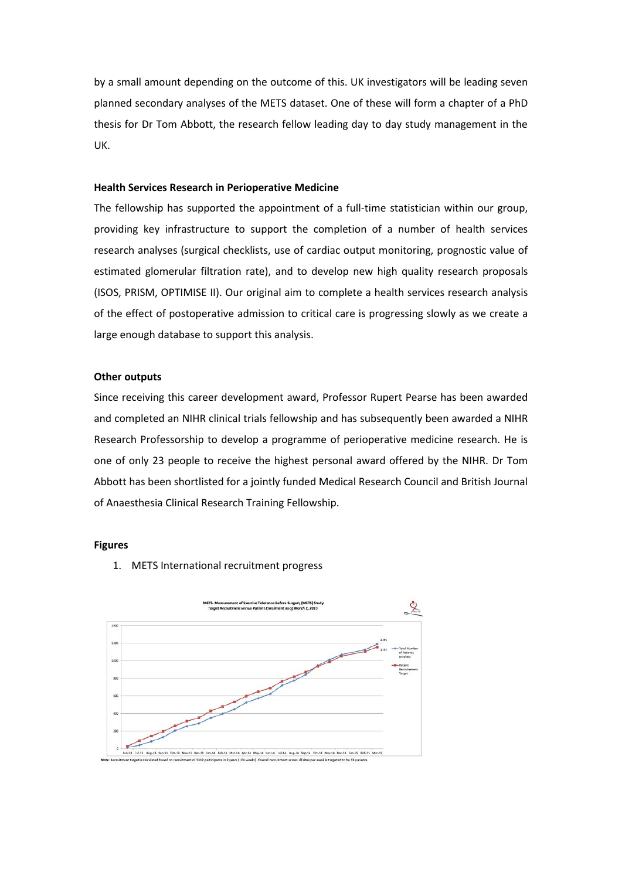by a small amount depending on the outcome of this. UK investigators will be leading seven planned secondary analyses of the METS dataset. One of these will form a chapter of a PhD thesis for Dr Tom Abbott, the research fellow leading day to day study management in the UK.

## **Health Services Research in Perioperative Medicine**

The fellowship has supported the appointment of a full-time statistician within our group, providing key infrastructure to support the completion of a number of health services research analyses (surgical checklists, use of cardiac output monitoring, prognostic value of estimated glomerular filtration rate), and to develop new high quality research proposals (ISOS, PRISM, OPTIMISE II). Our original aim to complete a health services research analysis of the effect of postoperative admission to critical care is progressing slowly as we create a large enough database to support this analysis.

#### **Other outputs**

Since receiving this career development award, Professor Rupert Pearse has been awarded and completed an NIHR clinical trials fellowship and has subsequently been awarded a NIHR Research Professorship to develop a programme of perioperative medicine research. He is one of only 23 people to receive the highest personal award offered by the NIHR. Dr Tom Abbott has been shortlisted for a jointly funded Medical Research Council and British Journal of Anaesthesia Clinical Research Training Fellowship.

#### **Figures**

1. METS International recruitment progress